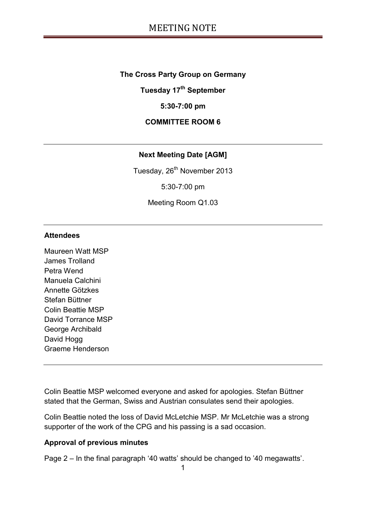#### **The Cross Party Group on Germany**

**Tuesday 17th September**

#### **5:30-7:00 pm**

#### **COMMITTEE ROOM 6**

#### **Next Meeting Date [AGM]**

Tuesday, 26<sup>th</sup> November 2013

5:30-7:00 pm

Meeting Room Q1.03

#### **Attendees**

Maureen Watt MSP James Trolland Petra Wend Manuela Calchini Annette Götzkes Stefan Büttner Colin Beattie MSP David Torrance MSP George Archibald David Hogg Graeme Henderson

Colin Beattie MSP welcomed everyone and asked for apologies. Stefan Büttner stated that the German, Swiss and Austrian consulates send their apologies.

Colin Beattie noted the loss of David McLetchie MSP. Mr McLetchie was a strong supporter of the work of the CPG and his passing is a sad occasion.

#### **Approval of previous minutes**

Page 2 – In the final paragraph '40 watts' should be changed to '40 megawatts'.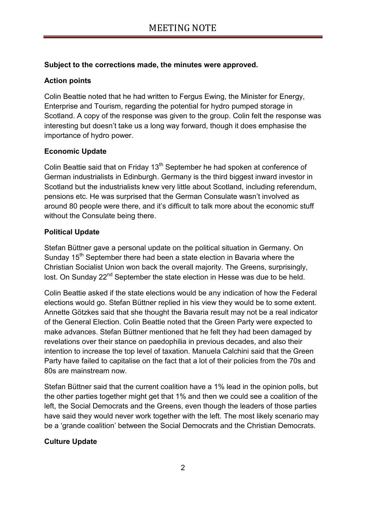### **Subject to the corrections made, the minutes were approved.**

# **Action points**

Colin Beattie noted that he had written to Fergus Ewing, the Minister for Energy, Enterprise and Tourism, regarding the potential for hydro pumped storage in Scotland. A copy of the response was given to the group. Colin felt the response was interesting but doesn't take us a long way forward, though it does emphasise the importance of hydro power.

# **Economic Update**

Colin Beattie said that on Friday 13<sup>th</sup> September he had spoken at conference of German industrialists in Edinburgh. Germany is the third biggest inward investor in Scotland but the industrialists knew very little about Scotland, including referendum, pensions etc. He was surprised that the German Consulate wasn't involved as around 80 people were there, and it's difficult to talk more about the economic stuff without the Consulate being there.

# **Political Update**

Stefan Büttner gave a personal update on the political situation in Germany. On Sunday  $15<sup>th</sup>$  September there had been a state election in Bavaria where the Christian Socialist Union won back the overall majority. The Greens, surprisingly, lost. On Sunday 22<sup>nd</sup> September the state election in Hesse was due to be held.

Colin Beattie asked if the state elections would be any indication of how the Federal elections would go. Stefan Büttner replied in his view they would be to some extent. Annette Götzkes said that she thought the Bavaria result may not be a real indicator of the General Election. Colin Beattie noted that the Green Party were expected to make advances. Stefan Büttner mentioned that he felt they had been damaged by revelations over their stance on paedophilia in previous decades, and also their intention to increase the top level of taxation. Manuela Calchini said that the Green Party have failed to capitalise on the fact that a lot of their policies from the 70s and 80s are mainstream now.

Stefan Büttner said that the current coalition have a 1% lead in the opinion polls, but the other parties together might get that 1% and then we could see a coalition of the left, the Social Democrats and the Greens, even though the leaders of those parties have said they would never work together with the left. The most likely scenario may be a 'grande coalition' between the Social Democrats and the Christian Democrats.

### **Culture Update**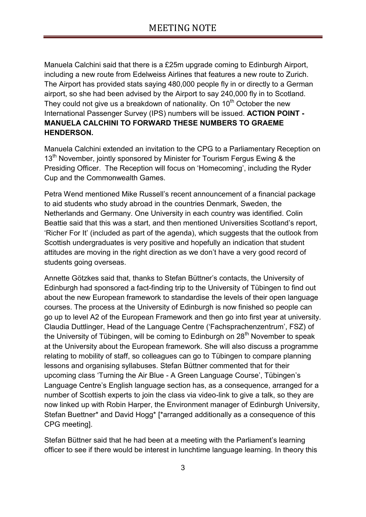Manuela Calchini said that there is a £25m upgrade coming to Edinburgh Airport, including a new route from Edelweiss Airlines that features a new route to Zurich. The Airport has provided stats saying 480,000 people fly in or directly to a German airport, so she had been advised by the Airport to say 240,000 fly in to Scotland. They could not give us a breakdown of nationality. On  $10<sup>th</sup>$  October the new International Passenger Survey (IPS) numbers will be issued. **ACTION POINT - MANUELA CALCHINI TO FORWARD THESE NUMBERS TO GRAEME HENDERSON.**

Manuela Calchini extended an invitation to the CPG to a Parliamentary Reception on 13<sup>th</sup> November, jointly sponsored by Minister for Tourism Fergus Ewing & the Presiding Officer. The Reception will focus on 'Homecoming', including the Ryder Cup and the Commonwealth Games.

Petra Wend mentioned Mike Russell's recent announcement of a financial package to aid students who study abroad in the countries Denmark, Sweden, the Netherlands and Germany. One University in each country was identified. Colin Beattie said that this was a start, and then mentioned Universities Scotland's report, 'Richer For It' (included as part of the agenda), which suggests that the outlook from Scottish undergraduates is very positive and hopefully an indication that student attitudes are moving in the right direction as we don't have a very good record of students going overseas.

Annette Götzkes said that, thanks to Stefan Büttner's contacts, the University of Edinburgh had sponsored a fact-finding trip to the University of Tübingen to find out about the new European framework to standardise the levels of their open language courses. The process at the University of Edinburgh is now finished so people can go up to level A2 of the European Framework and then go into first year at university. Claudia Duttlinger, Head of the Language Centre ('Fachsprachenzentrum', FSZ) of the University of Tübingen, will be coming to Edinburgh on  $28<sup>th</sup>$  November to speak at the University about the European framework. She will also discuss a programme relating to mobility of staff, so colleagues can go to Tübingen to compare planning lessons and organising syllabuses. Stefan Büttner commented that for their upcoming class 'Turning the Air Blue - A Green Language Course', Tübingen's Language Centre's English language section has, as a consequence, arranged for a number of Scottish experts to join the class via video-link to give a talk, so they are now linked up with Robin Harper, the Environment manager of Edinburgh University, Stefan Buettner\* and David Hogg\* [\*arranged additionally as a consequence of this CPG meeting].

Stefan Büttner said that he had been at a meeting with the Parliament's learning officer to see if there would be interest in lunchtime language learning. In theory this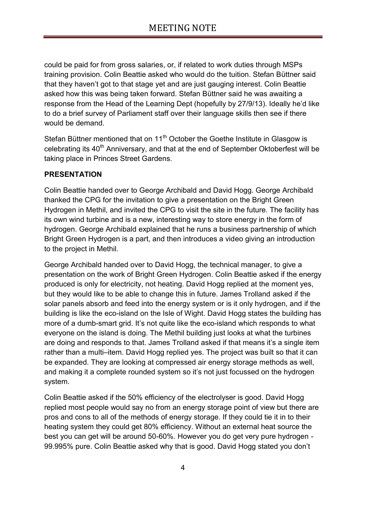could be paid for from gross salaries, or, if related to work duties through MSPs training provision. Colin Beattie asked who would do the tuition. Stefan Büttner said that they haven't got to that stage yet and are just gauging interest. Colin Beattie asked how this was being taken forward. Stefan Büttner said he was awaiting a response from the Head of the Learning Dept (hopefully by 27/9/13). Ideally he'd like to do a brief survey of Parliament staff over their language skills then see if there would be demand.

Stefan Büttner mentioned that on 11<sup>th</sup> October the Goethe Institute in Glasgow is celebrating its 40<sup>th</sup> Anniversary, and that at the end of September Oktoberfest will be taking place in Princes Street Gardens.

### **PRESENTATION**

Colin Beattie handed over to George Archibald and David Hogg. George Archibald thanked the CPG for the invitation to give a presentation on the Bright Green Hydrogen in Methil, and invited the CPG to visit the site in the future. The facility has its own wind turbine and is a new, interesting way to store energy in the form of hydrogen. George Archibald explained that he runs a business partnership of which Bright Green Hydrogen is a part, and then introduces a video giving an introduction to the project in Methil.

George Archibald handed over to David Hogg, the technical manager, to give a presentation on the work of Bright Green Hydrogen. Colin Beattie asked if the energy produced is only for electricity, not heating. David Hogg replied at the moment yes, but they would like to be able to change this in future. James Trolland asked if the solar panels absorb and feed into the energy system or is it only hydrogen, and if the building is like the eco-island on the Isle of Wight. David Hogg states the building has more of a dumb-smart grid. It's not quite like the eco-island which responds to what everyone on the island is doing. The Methil building just looks at what the turbines are doing and responds to that. James Trolland asked if that means it's a single item rather than a multi–item. David Hogg replied yes. The project was built so that it can be expanded. They are looking at compressed air energy storage methods as well, and making it a complete rounded system so it's not just focussed on the hydrogen system.

Colin Beattie asked if the 50% efficiency of the electrolyser is good. David Hogg replied most people would say no from an energy storage point of view but there are pros and cons to all of the methods of energy storage. If they could tie it in to their heating system they could get 80% efficiency. Without an external heat source the best you can get will be around 50-60%. However you do get very pure hydrogen - 99.995% pure. Colin Beattie asked why that is good. David Hogg stated you don't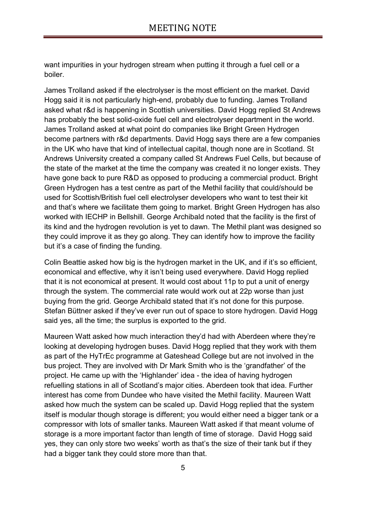want impurities in your hydrogen stream when putting it through a fuel cell or a boiler.

James Trolland asked if the electrolyser is the most efficient on the market. David Hogg said it is not particularly high-end, probably due to funding. James Trolland asked what r&d is happening in Scottish universities. David Hogg replied St Andrews has probably the best solid-oxide fuel cell and electrolyser department in the world. James Trolland asked at what point do companies like Bright Green Hydrogen become partners with r&d departments. David Hogg says there are a few companies in the UK who have that kind of intellectual capital, though none are in Scotland. St Andrews University created a company called St Andrews Fuel Cells, but because of the state of the market at the time the company was created it no longer exists. They have gone back to pure R&D as opposed to producing a commercial product. Bright Green Hydrogen has a test centre as part of the Methil facility that could/should be used for Scottish/British fuel cell electrolyser developers who want to test their kit and that's where we facilitate them going to market. Bright Green Hydrogen has also worked with IECHP in Bellshill. George Archibald noted that the facility is the first of its kind and the hydrogen revolution is yet to dawn. The Methil plant was designed so they could improve it as they go along. They can identify how to improve the facility but it's a case of finding the funding.

Colin Beattie asked how big is the hydrogen market in the UK, and if it's so efficient, economical and effective, why it isn't being used everywhere. David Hogg replied that it is not economical at present. It would cost about 11p to put a unit of energy through the system. The commercial rate would work out at 22p worse than just buying from the grid. George Archibald stated that it's not done for this purpose. Stefan Büttner asked if they've ever run out of space to store hydrogen. David Hogg said yes, all the time; the surplus is exported to the grid.

Maureen Watt asked how much interaction they'd had with Aberdeen where they're looking at developing hydrogen buses. David Hogg replied that they work with them as part of the HyTrEc programme at Gateshead College but are not involved in the bus project. They are involved with Dr Mark Smith who is the 'grandfather' of the project. He came up with the 'Highlander' idea - the idea of having hydrogen refuelling stations in all of Scotland's major cities. Aberdeen took that idea. Further interest has come from Dundee who have visited the Methil facility. Maureen Watt asked how much the system can be scaled up. David Hogg replied that the system itself is modular though storage is different; you would either need a bigger tank or a compressor with lots of smaller tanks. Maureen Watt asked if that meant volume of storage is a more important factor than length of time of storage. David Hogg said yes, they can only store two weeks' worth as that's the size of their tank but if they had a bigger tank they could store more than that.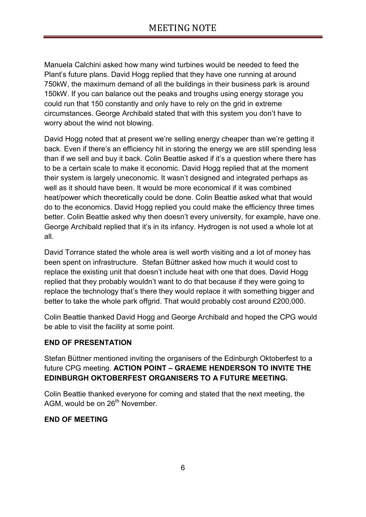Manuela Calchini asked how many wind turbines would be needed to feed the Plant's future plans. David Hogg replied that they have one running at around 750kW, the maximum demand of all the buildings in their business park is around 150kW. If you can balance out the peaks and troughs using energy storage you could run that 150 constantly and only have to rely on the grid in extreme circumstances. George Archibald stated that with this system you don't have to worry about the wind not blowing.

David Hogg noted that at present we're selling energy cheaper than we're getting it back. Even if there's an efficiency hit in storing the energy we are still spending less than if we sell and buy it back. Colin Beattie asked if it's a question where there has to be a certain scale to make it economic. David Hogg replied that at the moment their system is largely uneconomic. It wasn't designed and integrated perhaps as well as it should have been. It would be more economical if it was combined heat/power which theoretically could be done. Colin Beattie asked what that would do to the economics. David Hogg replied you could make the efficiency three times better. Colin Beattie asked why then doesn't every university, for example, have one. George Archibald replied that it's in its infancy. Hydrogen is not used a whole lot at all.

David Torrance stated the whole area is well worth visiting and a lot of money has been spent on infrastructure. Stefan Büttner asked how much it would cost to replace the existing unit that doesn't include heat with one that does. David Hogg replied that they probably wouldn't want to do that because if they were going to replace the technology that's there they would replace it with something bigger and better to take the whole park offgrid. That would probably cost around £200,000.

Colin Beattie thanked David Hogg and George Archibald and hoped the CPG would be able to visit the facility at some point.

### **END OF PRESENTATION**

Stefan Büttner mentioned inviting the organisers of the Edinburgh Oktoberfest to a future CPG meeting. **ACTION POINT – GRAEME HENDERSON TO INVITE THE EDINBURGH OKTOBERFEST ORGANISERS TO A FUTURE MEETING.**

Colin Beattie thanked everyone for coming and stated that the next meeting, the AGM, would be on 26<sup>th</sup> November.

### **END OF MEETING**